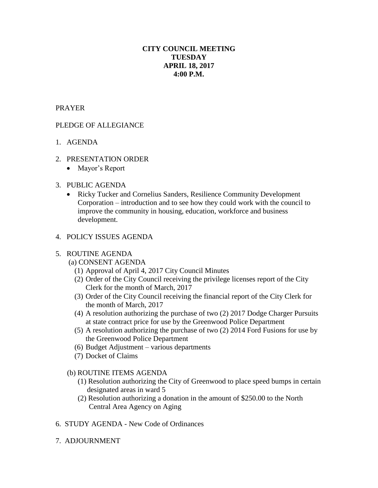# **CITY COUNCIL MEETING TUESDAY APRIL 18, 2017 4:00 P.M.**

## PRAYER

## PLEDGE OF ALLEGIANCE

- 1. AGENDA
- 2. PRESENTATION ORDER
	- Mayor's Report

#### 3. PUBLIC AGENDA

 Ricky Tucker and Cornelius Sanders, Resilience Community Development Corporation – introduction and to see how they could work with the council to improve the community in housing, education, workforce and business development.

## 4. POLICY ISSUES AGENDA

#### 5. ROUTINE AGENDA

- (a) CONSENT AGENDA
	- (1) Approval of April 4, 2017 City Council Minutes
	- (2) Order of the City Council receiving the privilege licenses report of the City Clerk for the month of March, 2017
	- (3) Order of the City Council receiving the financial report of the City Clerk for the month of March, 2017
	- (4) A resolution authorizing the purchase of two (2) 2017 Dodge Charger Pursuits at state contract price for use by the Greenwood Police Department
	- (5) A resolution authorizing the purchase of two (2) 2014 Ford Fusions for use by the Greenwood Police Department
	- (6) Budget Adjustment various departments
	- (7) Docket of Claims
- (b) ROUTINE ITEMS AGENDA
	- (1) Resolution authorizing the City of Greenwood to place speed bumps in certain designated areas in ward 5
	- (2) Resolution authorizing a donation in the amount of \$250.00 to the North Central Area Agency on Aging
- 6. STUDY AGENDA New Code of Ordinances
- 7. ADJOURNMENT